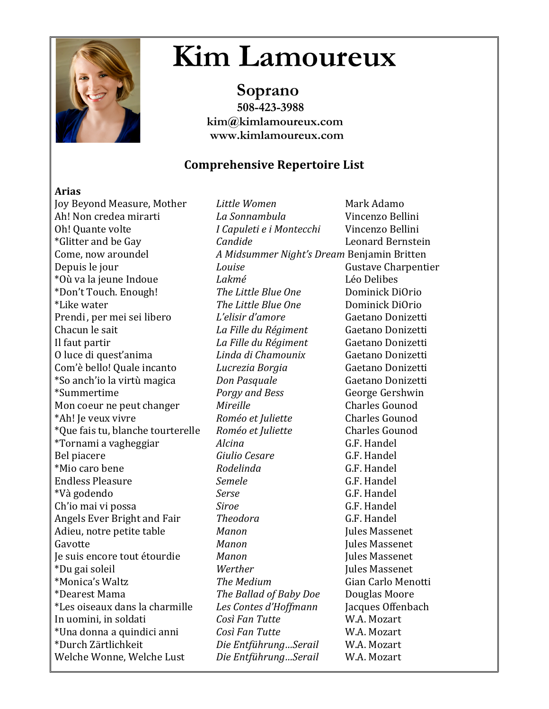

# **Kim Lamoureux**<br>Soprano<br>508-423-3988

 **kim@kimlamoureux.com www.kimlamoureux.com**

### **Comprehensive Repertoire List**

#### **Arias**

Joy Beyond Measure, Mother *Little Women* Mark Adamo Ah! Non credea mirarti *La Sonnambula* Vincenzo Bellini Oh! Quante volte *I Capuleti e i Montecchi* Vincenzo Bellini \*Glitter and be Gay *Candide* Leonard Bernstein Come, now aroundel *A Midsummer Night's Dream Benjamin Britten* Depuis le jour **Euler Couise** *Louise* **Gustave Charpentier Gustave** Charpentier \*Où va la jeune Indoue *Lakmé* Léo Delibes \*Don't Touch. Enough! *The Little Blue One* Dominick DiOrio \*Like water *The Little Blue One* Dominick DiOrio Prendi , per mei sei libero *L'elisir d'amore* Gaetano Donizetti Chacun le sait *La Fille du Régiment* Gaetano Donizetti Il faut partir *La Fille du Régiment* Gaetano Donizetti O luce di quest'anima *Linda di Chamounix* Gaetano Donizetti Com'è bello! Quale incanto *Lucrezia Borgia* Gaetano Donizetti \*So anch'io la virtù magica *Don Pasquale* Gaetano Donizetti \*Summertime *Porgy and Bess* George Gershwin Mon coeur ne peut changer *Mireille* Charles Gounod \*Ah! Je veux vivre *Roméo et Juliette* Charles Gounod \*Que fais tu, blanche tourterelle Roméo et Juliette Charles Gounod \*Tornami a vagheggiar *Alcina* G.F. Handel Bel piacere **Giulio** Gesare **G.F.** Handel \*Mio caro bene *Rodelinda* G.F. Handel **Endless Pleasure** *Semele Semele* **G.F.** Handel \*Và godendo *Serse* G.F. Handel Ch'io mai vi possa *Siroe Siroe* **G.F.** Handel Angels Ever Bright and Fair *Theodora* G.F. Handel Adieu, notre petite table *Manon* Jules Massenet Gavotte **Manon** Manon **Jules Massenet** Je suis encore tout étourdie *Manon* Jules Massenet \*Du gai soleil *Werther* Jules Massenet \*Monica's Waltz *The Medium* Gian Carlo Menotti \*Dearest Mama *The Ballad of Baby Doe* Douglas Moore \*Les oiseaux dans la charmille *Les Contes d'Hoffmann* Jacques Offenbach In uomini, in soldati *Così Fan Tutte* W.A. Mozart \*Una donna a quindici anni *Così Fan Tutte* W.A. Mozart \*Durch Zärtlichkeit *Die Entführung…Serail* W.A. Mozart Welche Wonne, Welche Lust *Die Entführung…Serail* W.A. Mozart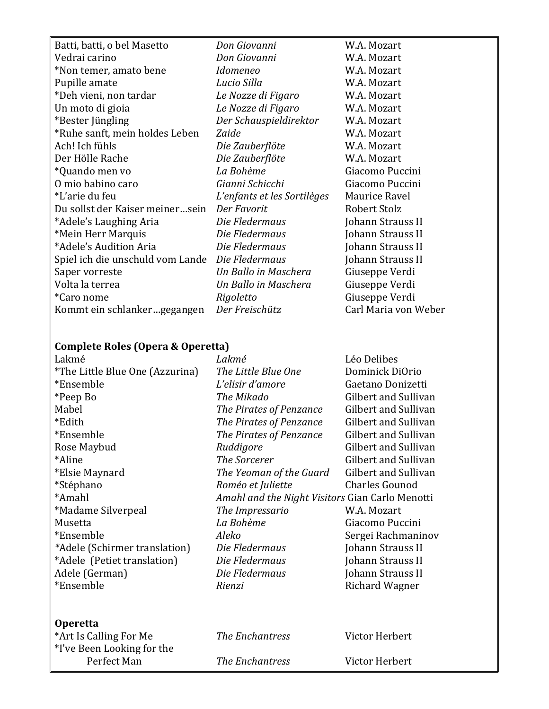Batti, batti, o bel Masetto *Don Giovanni* W.A. Mozart Vedrai carino *Don Giovanni* W.A. Mozart \*Non temer, amato bene *Idomeneo* W.A. Mozart Pupille amate *Lucio Silla* W.A. Mozart \*Deh vieni, non tardar *Le Nozze di Figaro* W.A. Mozart Un moto di gioia *Le Nozze di Figaro* W.A. Mozart \*Bester Jüngling *Der Schauspieldirektor* W.A. Mozart \*Ruhe sanft, mein holdes Leben *Zaide* W.A. Mozart Ach! Ich fühls *Die Zauberflöte* W.A. Mozart Der Hölle Rache *Die Zauberflöte* W.A. Mozart \*Quando men vo *La Bohème* Giacomo Puccini O mio babino caro *Gianni Schicchi* Giacomo Puccini \*L'arie du feu *L'enfants et les Sortilèges* Maurice Ravel Du sollst der Kaiser meiner…sein *Der Favorit* Robert Stolz \*Adele's Laughing Aria *Die Fledermaus* Johann Strauss II \*Mein Herr Marquis *Die Fledermaus* Johann Strauss II \*Adele's Audition Aria *Die Fledermaus* Johann Strauss II Spiel ich die unschuld vom Lande *Die Fledermaus* Johann Strauss II Saper vorreste *Un Ballo in Maschera* Giuseppe Verdi Volta la terrea *Un Ballo in Maschera* Giuseppe Verdi \*Caro nome *Rigoletto* Giuseppe Verdi Kommt ein schlanker…gegangen Der Freischütz Carl Maria von Weber

#### **Complete Roles (Opera & Operetta)**

| Lakmé                           | Lakmé                                           | Léo Delibes                 |
|---------------------------------|-------------------------------------------------|-----------------------------|
| *The Little Blue One (Azzurina) | The Little Blue One                             | Dominick DiOrio             |
| *Ensemble                       | L'elisir d'amore                                | Gaetano Donizetti           |
| *Peep Bo                        | The Mikado                                      | Gilbert and Sullivan        |
| Mabel                           | The Pirates of Penzance                         | Gilbert and Sullivan        |
| *Edith                          | The Pirates of Penzance                         | Gilbert and Sullivan        |
| *Ensemble                       | The Pirates of Penzance                         | Gilbert and Sullivan        |
| Rose Maybud                     | Ruddigore                                       | <b>Gilbert and Sullivan</b> |
| *Aline                          | The Sorcerer                                    | Gilbert and Sullivan        |
| *Elsie Maynard                  | The Yeoman of the Guard                         | Gilbert and Sullivan        |
| *Stéphano                       | Roméo et Juliette                               | <b>Charles Gounod</b>       |
| *Amahl                          | Amahl and the Night Visitors Gian Carlo Menotti |                             |
| *Madame Silverpeal              | The Impressario                                 | W.A. Mozart                 |
| Musetta                         | La Bohème                                       | Giacomo Puccini             |
| *Ensemble                       | Aleko                                           | Sergei Rachmaninov          |
| *Adele (Schirmer translation)   | Die Fledermaus                                  | Johann Strauss II           |
| *Adele (Petiet translation)     | Die Fledermaus                                  | Johann Strauss II           |
| Adele (German)                  | Die Fledermaus                                  | Johann Strauss II           |
| *Ensemble                       | Rienzi                                          | Richard Wagner              |
|                                 |                                                 |                             |
| <b>Operetta</b>                 |                                                 |                             |
| *Art Is Calling For Me          | The Enchantress                                 | Victor Herbert              |
| *I've Been Looking for the      |                                                 |                             |
| Perfect Man                     | <b>The Enchantress</b>                          | Victor Herbert              |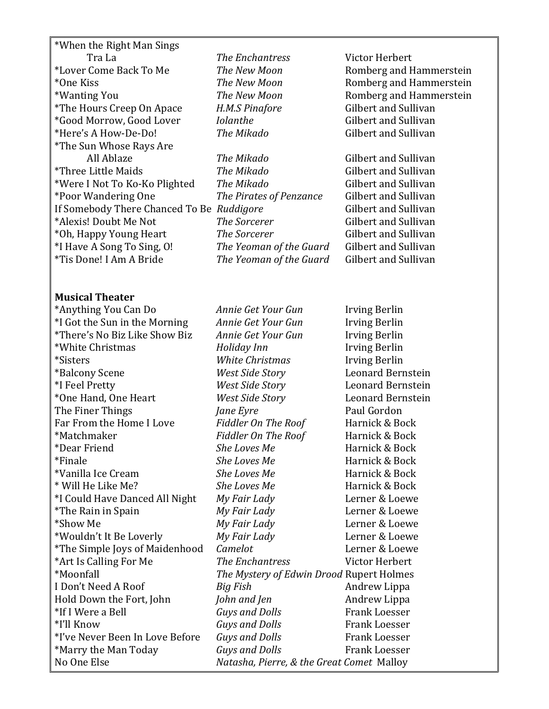\*When the Right Man Sings Tra La *The Enchantress* Victor Herbert \*Lover Come Back To Me *The New Moon* Romberg and Hammerstein \*One Kiss *The New Moon* Romberg and Hammerstein \*Wanting You *The New Moon* Romberg and Hammerstein \*The Hours Creep On Apace *H.M.S Pinafore* Gilbert and Sullivan \*Good Morrow, Good Lover *Iolanthe* Gilbert and Sullivan \*Here's A How-De-Do! *The Mikado* Gilbert and Sullivan \*The Sun Whose Rays Are All Ablaze *The Mikado* Gilbert and Sullivan \*Three Little Maids *The Mikado* Gilbert and Sullivan \*Were I Not To Ko-Ko Plighted The Mikado Gilbert and Sullivan \*Poor Wandering One *The Pirates of Penzance* Gilbert and Sullivan If Somebody There Chanced To Be Ruddigore Gilbert and Sullivan \*Alexis! Doubt Me Not **The Sorcerer** Gilbert and Sullivan \*Oh, Happy Young Heart *The Sorcerer* Gilbert and Sullivan \*I Have A Song To Sing, O! *The Yeoman of the Guard* Gilbert and Sullivan \*Tis Done! I Am A Bride *The Yeoman of the Guard* Gilbert and Sullivan

#### **Musical Theater**

No One Else *Natasha, Pierre, & the Great Comet* Malloy

\*Anything You Can Do *Annie Get Your Gun* Irving Berlin \*I Got the Sun in the Morning *Annie Get Your Gun* Irving Berlin \*There's No Biz Like Show Biz *Annie Get Your Gun* Irving Berlin \*White Christmas *Holiday Inn* Irving Berlin \*Sisters *White Christmas* Irving Berlin \*Balcony Scene *West Side Story* Leonard Bernstein \*I Feel Pretty *West Side Story* Leonard Bernstein \*One Hand, One Heart *West Side Story* Leonard Bernstein **The Finer Things** *Jane Evre* **Paul Gordon** Far From the Home I Love *Fiddler On The Roof* Harnick & Bock \*Matchmaker *Fiddler On The Roof* Harnick & Bock \*Dear Friend *She Loves Me* Harnick & Bock \*Finale *She Loves Me* Harnick & Bock \*Vanilla Ice Cream *She Loves Me* Harnick & Bock \* Will He Like Me? *She Loves Me* Harnick & Bock \*I Could Have Danced All Night *My Fair Lady* Lerner & Loewe \*The Rain in Spain *My Fair Lady* Lerner & Loewe \*Show Me *My Fair Lady* Lerner & Loewe \*Wouldn't It Be Loverly *My Fair Lady* Lerner & Loewe \*The Simple Joys of Maidenhood *Camelot* Lerner & Loewe \*Art Is Calling For Me *The Enchantress* Victor Herbert \*Moonfall *The Mystery of Edwin Drood* Rupert Holmes I Don't Need A Roof *Big Fish* Andrew Lippa Hold Down the Fort, John *John and Jen* **Andrew Lippa** \*If I Were a Bell *Guys and Dolls* Frank Loesser \*I'll Know *Guys and Dolls* Frank Loesser \*I've Never Been In Love Before *Guys and Dolls* Frank Loesser \*Marry the Man Today *Guys and Dolls* Frank Loesser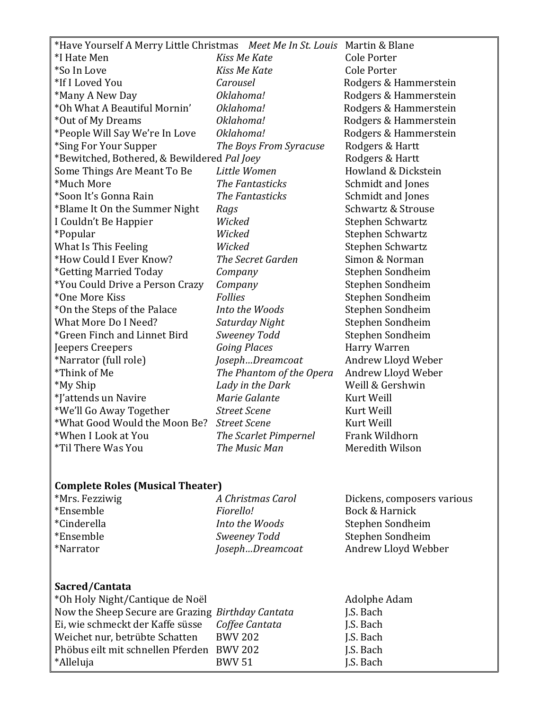| *Have Yourself A Merry Little Christmas Meet Me In St. Louis Martin & Blane |                          |                       |
|-----------------------------------------------------------------------------|--------------------------|-----------------------|
| *I Hate Men                                                                 | Kiss Me Kate             | <b>Cole Porter</b>    |
| *So In Love                                                                 | Kiss Me Kate             | <b>Cole Porter</b>    |
| *If I Loved You                                                             | Carousel                 | Rodgers & Hammerstein |
| *Many A New Day                                                             | Oklahoma!                | Rodgers & Hammerstein |
| *Oh What A Beautiful Mornin'                                                | Oklahoma!                | Rodgers & Hammerstein |
| *Out of My Dreams                                                           | Oklahoma!                | Rodgers & Hammerstein |
| *People Will Say We're In Love                                              | Oklahoma!                | Rodgers & Hammerstein |
| *Sing For Your Supper                                                       | The Boys From Syracuse   | Rodgers & Hartt       |
| *Bewitched, Bothered, & Bewildered Pal Joey                                 |                          | Rodgers & Hartt       |
| Some Things Are Meant To Be                                                 | Little Women             | Howland & Dickstein   |
| *Much More                                                                  | The Fantasticks          | Schmidt and Jones     |
| *Soon It's Gonna Rain                                                       | The Fantasticks          | Schmidt and Jones     |
| *Blame It On the Summer Night                                               | Rags                     | Schwartz & Strouse    |
| I Couldn't Be Happier                                                       | Wicked                   | Stephen Schwartz      |
| <i>*Popular</i>                                                             | Wicked                   | Stephen Schwartz      |
| <b>What Is This Feeling</b>                                                 | Wicked                   | Stephen Schwartz      |
| *How Could I Ever Know?                                                     | The Secret Garden        | Simon & Norman        |
| <i><b>*Getting Married Today</b></i>                                        | Company                  | Stephen Sondheim      |
| *You Could Drive a Person Crazy                                             | Company                  | Stephen Sondheim      |
| *One More Kiss                                                              | <b>Follies</b>           | Stephen Sondheim      |
| *On the Steps of the Palace                                                 | Into the Woods           | Stephen Sondheim      |
| What More Do I Need?                                                        | Saturday Night           | Stephen Sondheim      |
| *Green Finch and Linnet Bird                                                | <b>Sweeney Todd</b>      | Stephen Sondheim      |
| Jeepers Creepers                                                            | <b>Going Places</b>      | Harry Warren          |
| *Narrator (full role)                                                       | JosephDreamcoat          | Andrew Lloyd Weber    |
| *Think of Me                                                                | The Phantom of the Opera | Andrew Lloyd Weber    |
| *My Ship                                                                    | Lady in the Dark         | Weill & Gershwin      |
| *J'attends un Navire                                                        | Marie Galante            | Kurt Weill            |
| *We'll Go Away Together                                                     | <b>Street Scene</b>      | Kurt Weill            |
| *What Good Would the Moon Be?                                               | <b>Street Scene</b>      | Kurt Weill            |
| *When I Look at You                                                         | The Scarlet Pimpernel    | Frank Wildhorn        |
| *Til There Was You                                                          | The Music Man            | Meredith Wilson       |
|                                                                             |                          |                       |

## **Complete Roles (Musical Theater)**

| *Mrs. Fezziwig | A Christmas Carol | Dickens, composers various |
|----------------|-------------------|----------------------------|
| *Ensemble      | Fiorello!         | Bock & Harnick             |
| *Cinderella    | Into the Woods    | Stephen Sondheim           |
| *Ensemble      | Sweeney Todd      | Stephen Sondheim           |
| *Narrator      | JosephDreamcoat   | Andrew Lloyd Webber        |
|                |                   |                            |
|                |                   |                            |
| Sacred/Cantata |                   |                            |

| *Oh Holy Night/Cantique de Noël                   |                | Adolphe Adam |
|---------------------------------------------------|----------------|--------------|
| Now the Sheep Secure are Grazing Birthday Cantata |                | J.S. Bach    |
| Ei, wie schmeckt der Kaffe süsse                  | Coffee Cantata | J.S. Bach    |
| Weichet nur, betrübte Schatten                    | <b>BWV 202</b> | J.S. Bach    |
| Phöbus eilt mit schnellen Pferden BWV 202         |                | J.S. Bach    |
| *Alleluja                                         | <b>BWV 51</b>  | J.S. Bach    |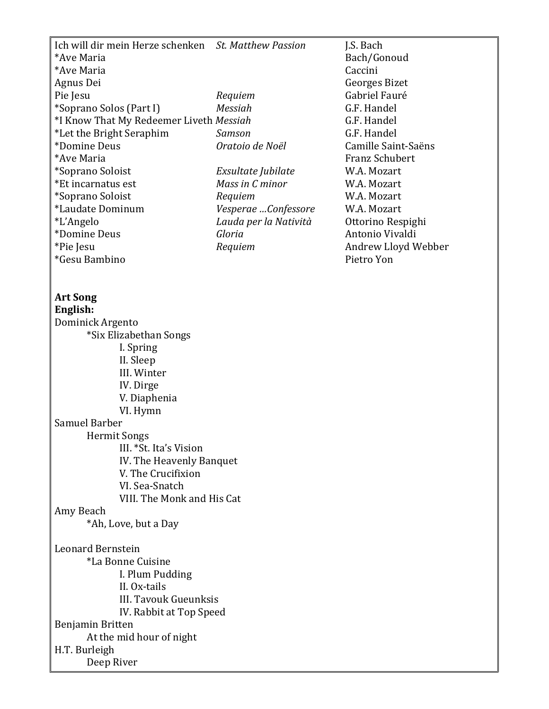Ich will dir mein Herze schenken *St. Matthew Passion* J.S. Bach \*Ave Maria Bach/Gonoud \*Ave Maria Caccini Agnus Dei Georges Bizet Pie Jesu *Requiem* **Gabriel Fauré** \*Soprano Solos (Part I) *Messiah* G.F. Handel \*I Know That My Redeemer Liveth *Messiah* G.F. Handel \*Let the Bright Seraphim *Samson* G.F. Handel \*Domine Deus *Oratoio de Noël* Camille Saint-Saëns \*Ave Maria Franz Schubert \*Soprano Soloist *Exsultate Jubilate* W.A. Mozart \*Et incarnatus est *Mass in C minor* W.A. Mozart \*Soprano Soloist *Requiem* W.A. Mozart \*Laudate Dominum *Vesperae …Confessore* W.A. Mozart \*L'Angelo *Lauda per la Natività* Ottorino Respighi \*Domine Deus *Gloria* Antonio Vivaldi \*Pie Jesu *Requiem* Andrew Lloyd Webber \*Gesu Bambino Pietro Yon **Art Song English:** Dominick Argento \*Six Elizabethan Songs I. Spring II. Sleep III. Winter IV. Dirge V. Diaphenia VI. Hymn Samuel Barber Hermit Songs III. \*St. Ita's Vision IV. The Heavenly Banquet

V. The Crucifixion VI. Sea-Snatch VIII. The Monk and His Cat

#### Amy Beach

\*Ah, Love, but a Day

Leonard Bernstein

\*La Bonne Cuisine I. Plum Pudding II. Ox-tails III. Tavouk Gueunksis IV. Rabbit at Top Speed Benjamin Britten At the mid hour of night H.T. Burleigh Deep River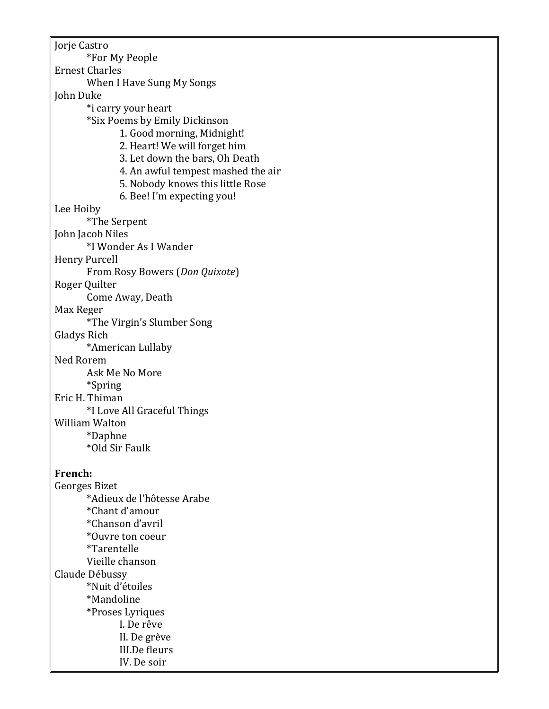Jorje Castro \*For My People Ernest Charles When I Have Sung My Songs John Duke \*i carry your heart \*Six Poems by Emily Dickinson 1. Good morning, Midnight! 2. Heart! We will forget him 3. Let down the bars, Oh Death 4. An awful tempest mashed the air 5. Nobody knows this little Rose 6. Bee! I'm expecting you! Lee Hoiby \*The Serpent John Jacob Niles \*I Wonder As I Wander Henry Purcell From Rosy Bowers (*Don Quixote*) Roger Quilter Come Away, Death Max Reger \*The Virgin's Slumber Song Gladys Rich \*American Lullaby Ned Rorem Ask Me No More \*Spring Eric H. Thiman \*I Love All Graceful Things William Walton \*Daphne \*Old Sir Faulk **French:** Georges Bizet \*Adieux de l'hôtesse Arabe \*Chant d'amour \*Chanson d'avril \*Ouvre ton coeur \*Tarentelle Vieille chanson Claude Débussy \*Nuit d'étoiles \*Mandoline \*Proses Lyriques I. De rêve II. De grève III.De fleurs IV. De soir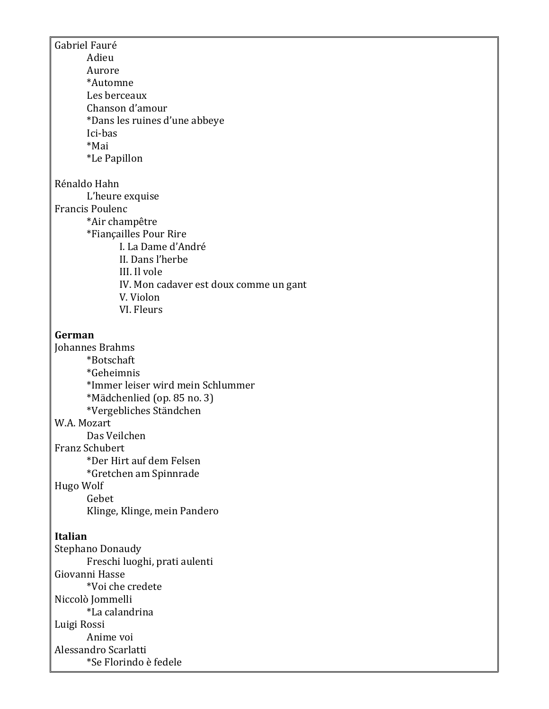Gabriel Fauré Adieu Aurore \*Automne Les berceaux Chanson d'amour \*Dans les ruines d'une abbeye Ici-bas \*Mai \*Le Papillon Rénaldo Hahn L'heure exquise Francis Poulenc \*Air champêtre \*Fiançailles Pour Rire I. La Dame d'André II. Dans l'herbe III. Il vole IV. Mon cadaver est doux comme un gant V. Violon VI. Fleurs **German** Johannes Brahms \*Botschaft \*Geheimnis \*Immer leiser wird mein Schlummer \*Mädchenlied (op. 85 no. 3) \*Vergebliches Ständchen W.A. Mozart Das Veilchen Franz Schubert \*Der Hirt auf dem Felsen \*Gretchen am Spinnrade Hugo Wolf Gebet Klinge, Klinge, mein Pandero **Italian** Stephano Donaudy Freschi luoghi, prati aulenti Giovanni Hasse \*Voi che credete Niccolò Jommelli \*La calandrina Luigi Rossi Anime voi Alessandro Scarlatti \*Se Florindo è fedele